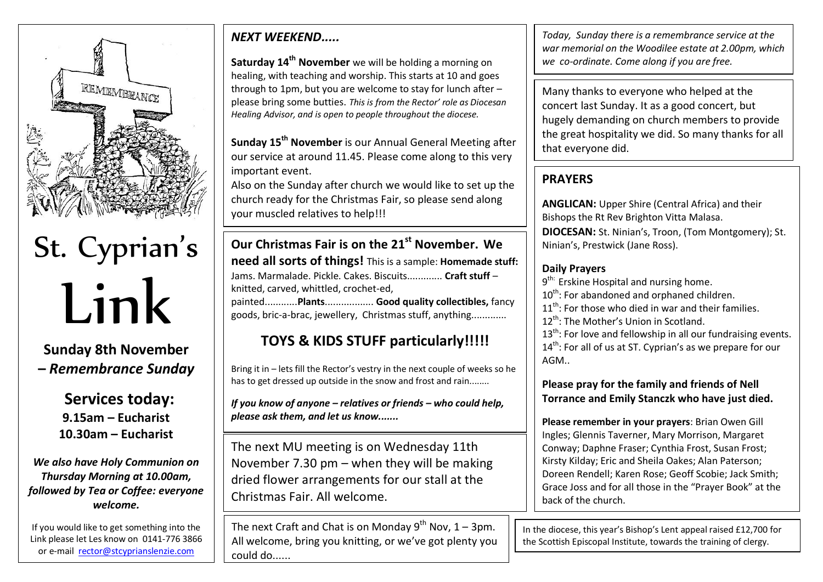

St. Cyprian's Link

**Sunday 8th November –** *Remembrance Sunday*

> **Services today: 9.15am – Eucharist 10.30am – Eucharist**

*We also have Holy Communion on Thursday Morning at 10.00am, followed by Tea or Coffee: everyone welcome.*

If you would like to get something into the Link please let Les know on 0141-776 3866 or e-mail [rector@stcyprianslenzie.com](mailto:rector@stcyprianslenzie.com)

by teatime on Wednesday evenings. Thanks.

## *NEXT WEEKEND.....*

**Saturday 14th November** we will be holding a morning on healing, with teaching and worship. This starts at 10 and goes through to 1pm, but you are welcome to stay for lunch after – please bring some butties. *This is from the Rector' role as Diocesan Healing Advisor, and is open to people throughout the diocese.*

**Sunday 15th November** is our Annual General Meeting after our service at around 11.45. Please come along to this very important event.

Also on the Sunday after church we would like to set up the church ready for the Christmas Fair, so please send along your muscled relatives to help!!!

**Our Christmas Fair is on the 21st November. We need all sorts of things!** This is a sample: **Homemade stuff:** Jams. Marmalade. Pickle. Cakes. Biscuits............. **Craft stuff** – knitted, carved, whittled, crochet-ed, painted............**Plants**.................. **Good quality collectibles,** fancy goods, bric-a-brac, jewellery, Christmas stuff, anything.............

## **TOYS & KIDS STUFF particularly!!!!!**

Bring it in – lets fill the Rector's vestry in the next couple of weeks so he has to get dressed up outside in the snow and frost and rain........

*If you know of anyone – relatives or friends – who could help, please ask them, and let us know.......*

The next MU meeting is on Wednesday 11th November 7.30 pm – when they will be making dried flower arrangements for our stall at the Christmas Fair. All welcome.

The next Craft and Chat is on Monday  $9^{th}$  Nov, 1 – 3pm. All welcome, bring you knitting, or we've got plenty you could do......

*Today, Sunday there is a remembrance service at the war memorial on the Woodilee estate at 2.00pm, which we co-ordinate. Come along if you are free.*

Many thanks to everyone who helped at the concert last Sunday. It as a good concert, but hugely demanding on church members to provide the great hospitality we did. So many thanks for all that everyone did.

## **PRAYERS**

**ANGLICAN:** Upper Shire (Central Africa) and their Bishops the Rt Rev Brighton Vitta Malasa. **DIOCESAN:** St. Ninian's, Troon, (Tom Montgomery); St. Ninian's, Prestwick (Jane Ross).

## **Daily Prayers**

9<sup>th:</sup> Erskine Hospital and nursing home.

10<sup>th</sup>: For abandoned and orphaned children.

 $11<sup>th</sup>$ : For those who died in war and their families.

12<sup>th</sup>: The Mother's Union in Scotland.

 $13<sup>th</sup>$ : For love and fellowship in all our fundraising events. 14<sup>th</sup>: For all of us at ST. Cyprian's as we prepare for our AGM..

**Please pray for the family and friends of Nell Torrance and Emily Stanczk who have just died.**

**Please remember in your prayers**: Brian Owen Gill Ingles; Glennis Taverner, Mary Morrison, Margaret Conway; Daphne Fraser; Cynthia Frost, Susan Frost; Kirsty Kilday; Eric and Sheila Oakes; Alan Paterson; Doreen Rendell; Karen Rose; Geoff Scobie; Jack Smith; Grace Joss and for all those in the "Prayer Book" at the back of the church.

In the diocese, this year's Bishop's Lent appeal raised £12,700 for the Scottish Episcopal Institute, towards the training of clergy.